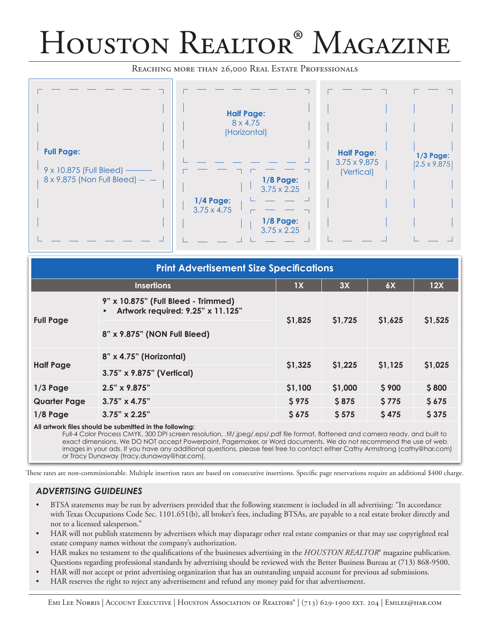## Houston Realtor® Magazine

Reaching more than 26,000 Real Estate Professionals



| <b>Print Advertisement Size Specifications</b> |                                                                          |              |              |              |         |
|------------------------------------------------|--------------------------------------------------------------------------|--------------|--------------|--------------|---------|
| <b>Insertions</b>                              |                                                                          | 1X           | 3X           | 6X           | 12X     |
| <b>Full Page</b>                               | 9" x 10.875" (Full Bleed - Trimmed)<br>Artwork required: 9.25" x 11.125" | \$1,825      | \$1,725      | \$1,625      | \$1,525 |
|                                                | 8" x 9.875" (NON Full Bleed)                                             |              |              |              |         |
| <b>Half Page</b>                               | 8" x 4.75" (Horizontal)                                                  | \$1,325      | \$1,225      | \$1,125      | \$1,025 |
|                                                | 3.75" x 9.875" (Vertical)                                                |              |              |              |         |
| $1/3$ Page                                     | $2.5" \times 9.875"$                                                     | \$1,100      | \$1,000      | \$900        | \$800   |
| <b>Quarter Page</b>                            | $3.75" \times 4.75"$                                                     | <b>\$975</b> | <b>\$875</b> | <b>\$775</b> | \$675   |
| $1/8$ Page                                     | $3.75" \times 2.25"$                                                     | \$675        | \$575        | \$475        | \$375   |

## **All artwork files should be submitted in the following:**

Full-4 Color Process CMYK, 300 DPI screen resolution, .tif/.jpeg/.eps/.pdf file format, flattened and camera ready, and built to exact dimensions. We DO NOT accept Powerpoint, Pagemaker, or Word documents. We do not recommend the use of web images in your ads. If you have any additional questions, please feel free to contact either Cathy Armstrong (cathy@har.com) or Tracy Dunaway (tracy.dunaway@har.com).

These rates are non-commissionable. Multiple insertion rates are based on consecutive insertions. Specific page reservations require an additional \$400 charge.

## *Advertising Guidelines*

- • BTSA statements may be run by advertisers provided that the following statement is included in all advertising: "In accordance with Texas Occupations Code Sec. 1101.651(b), all broker's fees, including BTSAs, are payable to a real estate broker directly and not to a licensed salesperson."
- HAR will not publish statements by advertisers which may disparage other real estate companies or that may use copyrighted real estate company names without the company's authorization.
- HAR makes no testament to the qualifications of the businesses advertising in the *HOUSTON REALTOR*® magazine publication. Questions regarding professional standards by advertising should be reviewed with the Better Business Bureau at (713) 868-9500.
- HAR will not accept or print advertising organization that has an outstanding unpaid account for previous ad submissions.
- HAR reserves the right to reject any advertisement and refund any money paid for that advertisement.